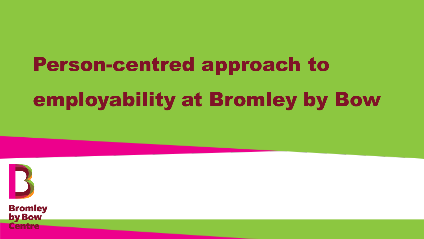# Person-centred approach to employability at Bromley by Bow



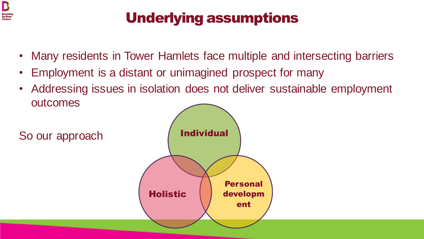

# Underlying assumptions

- Many residents in Tower Hamlets face multiple and intersecting barriers
- Employment is a distant or unimagined prospect for many
- Addressing issues in isolation does not deliver sustainable employment outcomes

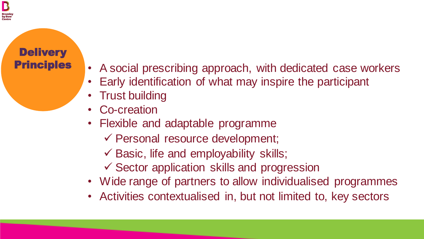### **Delivery Principles**

- A social prescribing approach, with dedicated case workers
- Early identification of what may inspire the participant
- Trust building
- Co-creation
- Flexible and adaptable programme
	- ✓ Personal resource development;
	- $\checkmark$  Basic, life and employability skills;
	- ✓ Sector application skills and progression
- Wide range of partners to allow individualised programmes
- Activities contextualised in, but not limited to, key sectors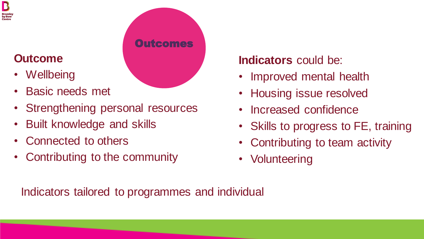#### $\mathbf B$ Bromle<br>by Bow

## **Outcome**

- Wellbeing
- Basic needs met
- Strengthening personal resources
- Built knowledge and skills
- Connected to others
- Contributing to the community

# **Indicators** could be:

- Improved mental health
- Housing issue resolved
- Increased confidence
- Skills to progress to FE, training
- Contributing to team activity
- Volunteering

Indicators tailored to programmes and individual

**Outcomes**